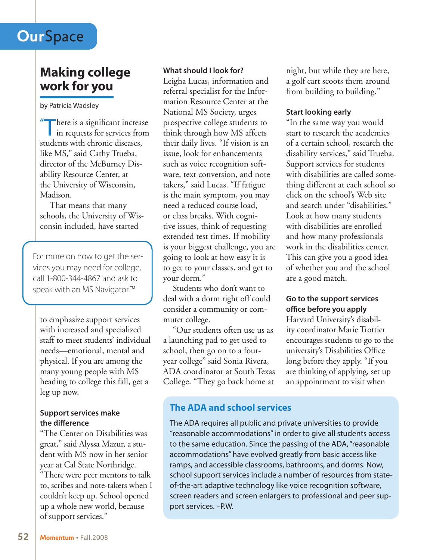# **Our**Space

## **Making college work for you**

by Patricia Wadsley

" There is a significant increase in requests for services from students with chronic diseases, like MS," said Cathy Trueba, director of the McBurney Disability Resource Center, at the University of Wisconsin, Madison.

That means that many schools, the University of Wisconsin included, have started

For more on how to get the services you may need for college, call 1-800-344-4867 and ask to speak with an MS Navigator.<sup>™</sup>

to emphasize support services with increased and specialized staff to meet students' individual needs—emotional, mental and physical. If you are among the many young people with MS heading to college this fall, get a leg up now.

### **Support services make the difference**

"The Center on Disabilities was great," said Alyssa Mazur, a student with MS now in her senior year at Cal State Northridge. "There were peer mentors to talk to, scribes and note-takers when I couldn't keep up. School opened up a whole new world, because of support services."

### **What should I look for?**

Leigha Lucas, information and referral specialist for the Information Resource Center at the National MS Society, urges prospective college students to think through how MS affects their daily lives. "If vision is an issue, look for enhancements such as voice recognition software, text conversion, and note takers," said Lucas. "If fatigue is the main symptom, you may need a reduced course load, or class breaks. With cognitive issues, think of requesting extended test times. If mobility is your biggest challenge, you are going to look at how easy it is to get to your classes, and get to your dorm."

Students who don't want to deal with a dorm right off could consider a community or commuter college.

"Our students often use us as a launching pad to get used to school, then go on to a fouryear college" said Sonia Rivera, ADA coordinator at South Texas College. "They go back home at

night, but while they are here, a golf cart scoots them around from building to building."

### **Start looking early**

"In the same way you would start to research the academics of a certain school, research the disability services," said Trueba. Support services for students with disabilities are called something different at each school so click on the school's Web site and search under "disabilities." Look at how many students with disabilities are enrolled and how many professionals work in the disabilities center. This can give you a good idea of whether you and the school are a good match.

### **Go to the support services office before you apply**

Harvard University's disability coordinator Marie Trottier encourages students to go to the university's Disabilities Office long before they apply. "If you are thinking of applying, set up an appointment to visit when

### **The ADA and school services**

The ADA requires all public and private universities to provide "reasonable accommodations" in order to give all students access to the same education. Since the passing of the ADA, "reasonable accommodations" have evolved greatly from basic access like ramps, and accessible classrooms, bathrooms, and dorms. Now, school support services include a number of resources from stateof-the-art adaptive technology like voice recognition software, screen readers and screen enlargers to professional and peer support services. –P.W.